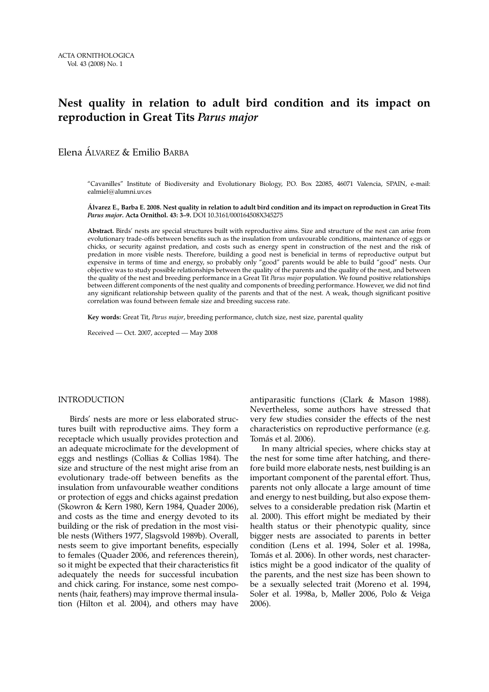# **Nest quality in relation to adult bird condition and its impact on reproduction in Great Tits** *Parus major*

Elena ÁLVAREZ & Emilio BARBA

"Cavanilles" Institute of Biodiversity and Evolutionary Biology, P.O. Box 22085, 46071 Valencia, SPAIN, e-mail: ealmiel@alumni.uv.es

**Álvarez E., Barba E. 2008. Nest quality in relation to adult bird condition and its impact on reproduction in Great Tits** *Parus major***. Acta Ornithol. 43: 3–9.** DOI 10.3161/000164508X345275

**Abstract.** Birds' nests are special structures built with reproductive aims. Size and structure of the nest can arise from evolutionary trade-offs between benefits such as the insulation from unfavourable conditions, maintenance of eggs or chicks, or security against predation, and costs such as energy spent in construction of the nest and the risk of predation in more visible nests. Therefore, building a good nest is beneficial in terms of reproductive output but expensive in terms of time and energy, so probably only "good" parents would be able to build "good" nests. Our objective was to study possible relationships between the quality of the parents and the quality of the nest, and between the quality of the nest and breeding performance in a Great Tit *Parus major* population. We found positive relationships between different components of the nest quality and components of breeding performance. However, we did not find any significant relationship between quality of the parents and that of the nest. A weak, though significant positive correlation was found between female size and breeding success rate.

**Key words:** Great Tit, *Parus major*, breeding performance, clutch size, nest size, parental quality

Received — Oct. 2007, accepted — May 2008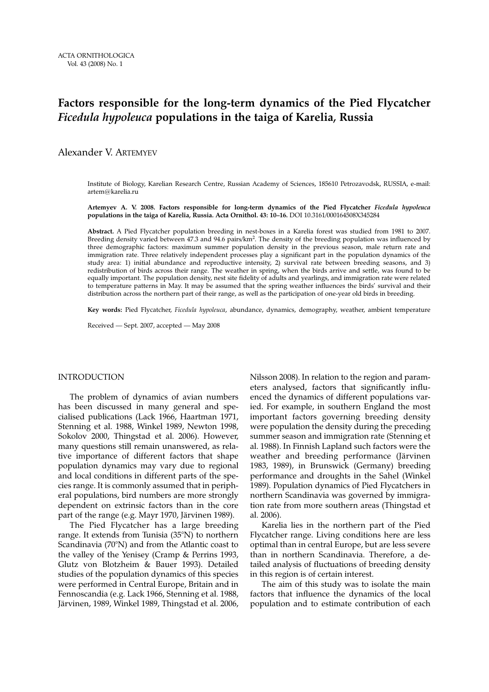# **Factors responsible for the long-term dynamics of the Pied Flycatcher** *Ficedula hypoleuca* **populations in the taiga of Karelia, Russia**

Alexander V. ARTEMYEV

Institute of Biology, Karelian Research Centre, Russian Academy of Sciences, 185610 Petrozavodsk, RUSSIA, e-mail: artem@karelia.ru

**Artemyev A. V. 2008. Factors responsible for long-term dynamics of the Pied Flycatcher** *Ficedula hypoleuca* **populations in the taiga of Karelia, Russia. Acta Ornithol. 43: 10–16.** DOI 10.3161/000164508X345284

**Abstract.** A Pied Flycatcher population breeding in nest-boxes in a Karelia forest was studied from 1981 to 2007. Breeding density varied between 47.3 and 94.6 pairs/km2. The density of the breeding population was influenced by three demographic factors: maximum summer population density in the previous season, male return rate and immigration rate. Three relatively independent processes play a significant part in the population dynamics of the study area: 1) initial abundance and reproductive intensity, 2) survival rate between breeding seasons, and 3) redistribution of birds across their range. The weather in spring, when the birds arrive and settle, was found to be equally important. The population density, nest site fidelity of adults and yearlings, and immigration rate were related to temperature patterns in May. It may be assumed that the spring weather influences the birds' survival and their distribution across the northern part of their range, as well as the participation of one-year old birds in breeding.

**Key words:** Pied Flycatcher, *Ficedula hypoleuca*, abundance, dynamics, demography, weather, ambient temperature

Received — Sept. 2007, accepted — May 2008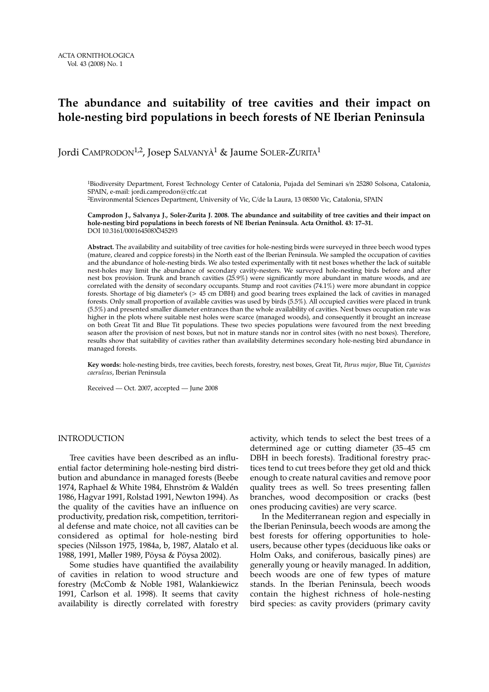#### **The abundance and suitability of tree cavities and their impact on hole-nesting bird populations in beech forests of NE Iberian Peninsula**

Jordi CAMPRODON<sup>1,2</sup>, Josep SALVANYÀ<sup>1</sup> & Jaume SOLER-ZURITA<sup>1</sup>

1Biodiversity Department, Forest Technology Center of Catalonia, Pujada del Seminari s/n 25280 Solsona, Catalonia, SPAIN, e-mail: jordi.camprodon@ctfc.cat 2Environmental Sciences Department, University of Vic, C/de la Laura, 13 08500 Vic, Catalonia, SPAIN

**Camprodon J., Salvanya J., Soler-Zurita J. 2008. The abundance and suitability of tree cavities and their impact on hole-nesting bird populations in beech forests of NE Iberian Peninsula. Acta Ornithol. 43: 17–31.**  DOI 10.3161/000164508X345293

**Abstract.** The availability and suitability of tree cavities for hole-nesting birds were surveyed in three beech wood types (mature, cleared and coppice forests) in the North east of the Iberian Peninsula. We sampled the occupation of cavities and the abundance of hole-nesting birds. We also tested experimentally with tit nest boxes whether the lack of suitable nest-holes may limit the abundance of secondary cavity-nesters. We surveyed hole-nesting birds before and after nest box provision. Trunk and branch cavities (25.9%) were significantly more abundant in mature woods, and are correlated with the density of secondary occupants. Stump and root cavities (74.1%) were more abundant in coppice forests. Shortage of big diameter's (> 45 cm DBH) and good bearing trees explained the lack of cavities in managed forests. Only small proportion of available cavities was used by birds (5.5%). All occupied cavities were placed in trunk (5.5%) and presented smaller diameter entrances than the whole availability of cavities. Nest boxes occupation rate was higher in the plots where suitable nest holes were scarce (managed woods), and consequently it brought an increase on both Great Tit and Blue Tit populations. These two species populations were favoured from the next breeding season after the provision of nest boxes, but not in mature stands nor in control sites (with no nest boxes). Therefore, results show that suitability of cavities rather than availability determines secondary hole-nesting bird abundance in managed forests.

**Key words:** hole-nesting birds, tree cavities, beech forests, forestry, nest boxes, Great Tit, *Parus major*, Blue Tit, *Cyanistes caeruleus*, Iberian Peninsula

Received — Oct. 2007, accepted — June 2008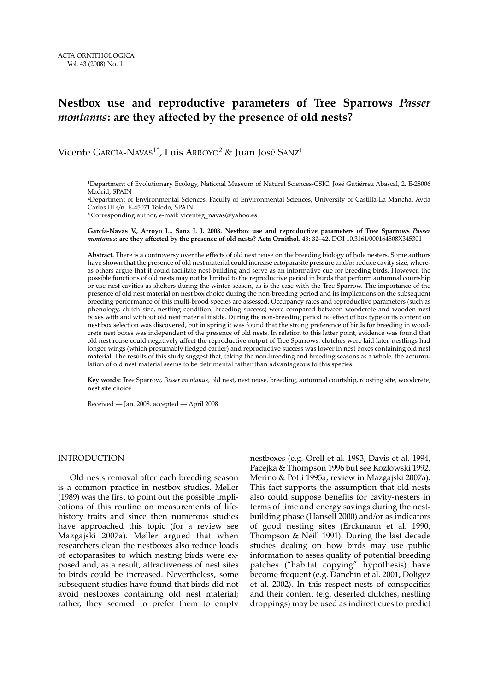#### **Nestbox use and reproductive parameters of Tree Sparrows** *Passer montanus***: are they affected by the presence of old nests?**

Vicente GARCÍA-NAVAS<sup>1\*</sup>, Luis ARROYO<sup>2</sup> & Juan José SANZ<sup>1</sup>

1Department of Evolutionary Ecology, National Museum of Natural Sciences-CSIC. José Gutiérrez Abascal, 2. E-28006 Madrid, SPAIN

2Department of Environmental Sciences, Faculty of Environmental Sciences, University of Castilla-La Mancha. Avda Carlos III s/n. E-45071 Toledo, SPAIN

\*Corresponding author, e-mail: vicenteg\_navas@yahoo.es

**García-Navas V., Arroyo L., Sanz J. J. 2008. Nestbox use and reproductive parameters of Tree Sparrows** *Passer montanus***: are they affected by the presence of old nests? Acta Ornithol. 43: 32–42.** DOI 10.3161/000164508X345301

**Abstract.** There is a controversy over the effects of old nest reuse on the breeding biology of hole nesters. Some authors have shown that the presence of old nest material could increase ectoparasite pressure and/or reduce cavity size, whereas others argue that it could facilitate nest-building and serve as an informative cue for breeding birds. However, the possible functions of old nests may not be limited to the reproductive period in burds that perform autumnal courtship or use nest cavities as shelters during the winter season, as is the case with the Tree Sparrow. The importance of the presence of old nest material on nest box choice during the non-breeding period and its implications on the subsequent breeding performance of this multi-brood species are assessed. Occupancy rates and reproductive parameters (such as phenology, clutch size, nestling condition, breeding success) were compared between woodcrete and wooden nest boxes with and without old nest material inside. During the non-breeding period no effect of box type or its content on nest box selection was discovered, but in spring it was found that the strong preference of birds for breeding in woodcrete nest boxes was independent of the presence of old nests. In relation to this latter point, evidence was found that old nest reuse could negatively affect the reproductive output of Tree Sparrows: clutches were laid later, nestlings had longer wings (which presumably fledged earlier) and reproductive success was lower in nest boxes containing old nest material. The results of this study suggest that, taking the non-breeding and breeding seasons as a whole, the accumulation of old nest material seems to be detrimental rather than advantageous to this species.

**Key words:** Tree Sparrow, *Passer montanus*, old nest, nest reuse, breeding, autumnal courtship, roosting site, woodcrete, nest site choice

Received — Jan. 2008, accepted — April 2008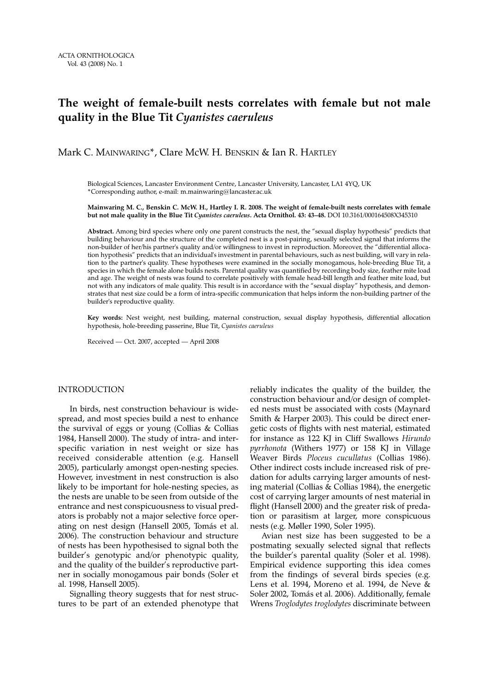# **The weight of female-built nests correlates with female but not male quality in the Blue Tit** *Cyanistes caeruleus*

#### Mark C. MAINWARING\*, Clare McW. H. BENSKIN & Ian R. HARTLEY

Biological Sciences, Lancaster Environment Centre, Lancaster University, Lancaster, LA1 4YQ, UK \*Corresponding author, e-mail: m.mainwaring@lancaster.ac.uk

#### **Mainwaring M. C., Benskin C. McW. H., Hartley I. R. 2008. The weight of female-built nests correlates with female but not male quality in the Blue Tit** *Cyanistes caeruleus***. Acta Ornithol. 43: 43–48.** DOI 10.3161/000164508X345310

**Abstract.** Among bird species where only one parent constructs the nest, the "sexual display hypothesis" predicts that building behaviour and the structure of the completed nest is a post-pairing, sexually selected signal that informs the non-builder of her/his partner's quality and/or willingness to invest in reproduction. Moreover, the "differential allocation hypothesis" predicts that an individual's investment in parental behaviours, such as nest building, will vary in relation to the partner's quality. These hypotheses were examined in the socially monogamous, hole-breeding Blue Tit, a species in which the female alone builds nests. Parental quality was quantified by recording body size, feather mite load and age. The weight of nests was found to correlate positively with female head-bill length and feather mite load, but not with any indicators of male quality. This result is in accordance with the "sexual display" hypothesis, and demonstrates that nest size could be a form of intra-specific communication that helps inform the non-building partner of the builder's reproductive quality.

**Key words:** Nest weight, nest building, maternal construction, sexual display hypothesis, differential allocation hypothesis, hole-breeding passerine, Blue Tit, *Cyanistes caeruleus*

Received — Oct. 2007, accepted — April 2008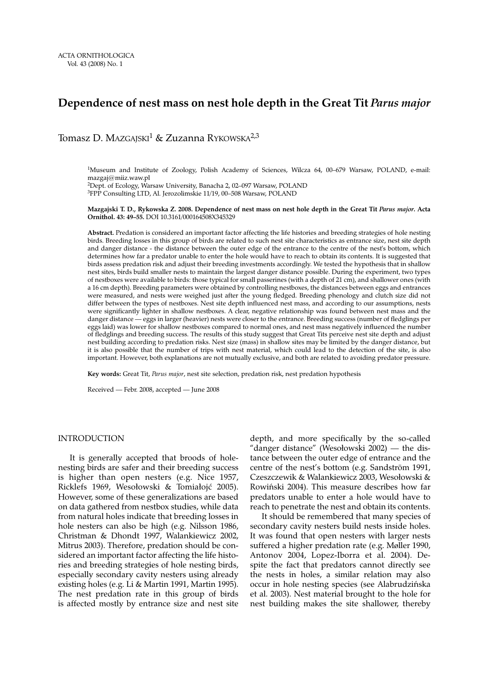#### **Dependence of nest mass on nest hole depth in the Great Tit** *Parus major*

Tomasz D. MAZGAJSKI<sup>1</sup> & Zuzanna RYKOWSKA<sup>2,3</sup>

1Museum and Institute of Zoology, Polish Academy of Sciences, Wilcza 64, 00–679 Warsaw, POLAND, e-mail: mazgaj@miiz.waw.pl 2Dept. of Ecology, Warsaw University, Banacha 2, 02–097 Warsaw, POLAND 3FPP Consulting LTD, Al. Jerozolimskie 11/19, 00–508 Warsaw, POLAND

#### **Mazgajski T. D., Rykowska Z. 2008. Dependence of nest mass on nest hole depth in the Great Tit** *Parus major***. Acta Ornithol. 43: 49–55.** DOI 10.3161/000164508X345329

**Abstract.** Predation is considered an important factor affecting the life histories and breeding strategies of hole nesting birds. Breeding losses in this group of birds are related to such nest site characteristics as entrance size, nest site depth and danger distance - the distance between the outer edge of the entrance to the centre of the nest's bottom, which determines how far a predator unable to enter the hole would have to reach to obtain its contents. It is suggested that birds assess predation risk and adjust their breeding investments accordingly. We tested the hypothesis that in shallow nest sites, birds build smaller nests to maintain the largest danger distance possible. During the experiment, two types of nestboxes were available to birds: those typical for small passerines (with a depth of 21 cm), and shallower ones (with a 16 cm depth). Breeding parameters were obtained by controlling nestboxes, the distances between eggs and entrances were measured, and nests were weighed just after the young fledged. Breeding phenology and clutch size did not differ between the types of nestboxes. Nest site depth influenced nest mass, and according to our assumptions, nests were significantly lighter in shallow nestboxes. A clear, negative relationship was found between nest mass and the danger distance — eggs in larger (heavier) nests were closer to the entrance. Breeding success (number of fledglings per eggs laid) was lower for shallow nestboxes compared to normal ones, and nest mass negatively influenced the number of fledglings and breeding success. The results of this study suggest that Great Tits perceive nest site depth and adjust nest building according to predation risks. Nest size (mass) in shallow sites may be limited by the danger distance, but it is also possible that the number of trips with nest material, which could lead to the detection of the site, is also important. However, both explanations are not mutually exclusive, and both are related to avoiding predator pressure.

**Key words:** Great Tit, *Parus major*, nest site selection, predation risk, nest predation hypothesis

Received — Febr. 2008, accepted — June 2008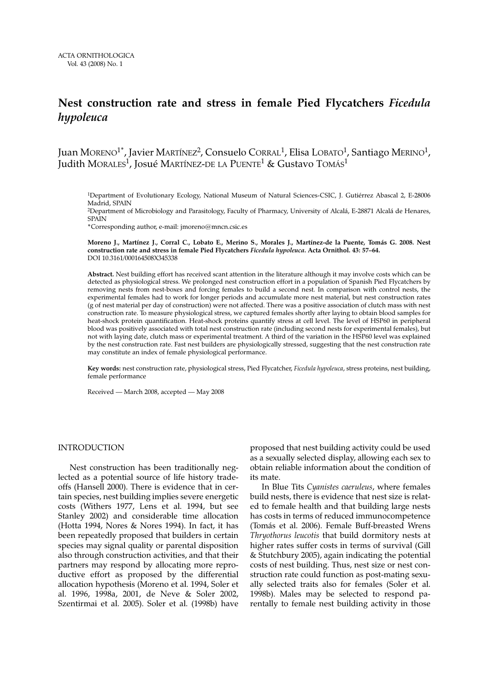#### **Nest construction rate and stress in female Pied Flycatchers** *Ficedula hypoleuca*

Juan MORENO<sup>1\*</sup>, Javier MARTÍNEZ<sup>2</sup>, Consuelo CORRAL<sup>1</sup>, Elisa LOBATO<sup>1</sup>, Santiago MERINO<sup>1</sup>, Judith MORALES<sup>1</sup>, Josué MARTÍNEZ-DE LA PUENTE<sup>1</sup> & Gustavo TOMÁS<sup>1</sup>

1Department of Evolutionary Ecology, National Museum of Natural Sciences-CSIC, J. Gutiérrez Abascal 2, E-28006 Madrid, SPAIN

2Department of Microbiology and Parasitology, Faculty of Pharmacy, University of Alcalá, E-28871 Alcalá de Henares, SPAIN

\*Corresponding author, e-mail: jmoreno@mncn.csic.es

**Moreno J., Martínez J., Corral C., Lobato E., Merino S., Morales J., Martínez-de la Puente, Tomás G. 2008. Nest construction rate and stress in female Pied Flycatchers** *Ficedula hypoleuca***. Acta Ornithol. 43: 57–64.**  DOI 10.3161/000164508X345338

**Abstract.** Nest building effort has received scant attention in the literature although it may involve costs which can be detected as physiological stress. We prolonged nest construction effort in a population of Spanish Pied Flycatchers by removing nests from nest-boxes and forcing females to build a second nest. In comparison with control nests, the experimental females had to work for longer periods and accumulate more nest material, but nest construction rates (g of nest material per day of construction) were not affected. There was a positive association of clutch mass with nest construction rate. To measure physiological stress, we captured females shortly after laying to obtain blood samples for heat-shock protein quantification. Heat-shock proteins quantify stress at cell level. The level of HSP60 in peripheral blood was positively associated with total nest construction rate (including second nests for experimental females), but not with laying date, clutch mass or experimental treatment. A third of the variation in the HSP60 level was explained by the nest construction rate. Fast nest builders are physiologically stressed, suggesting that the nest construction rate may constitute an index of female physiological performance.

**Key words:** nest construction rate, physiological stress, Pied Flycatcher, *Ficedula hypoleuca*, stress proteins, nest building, female performance

Received — March 2008, accepted — May 2008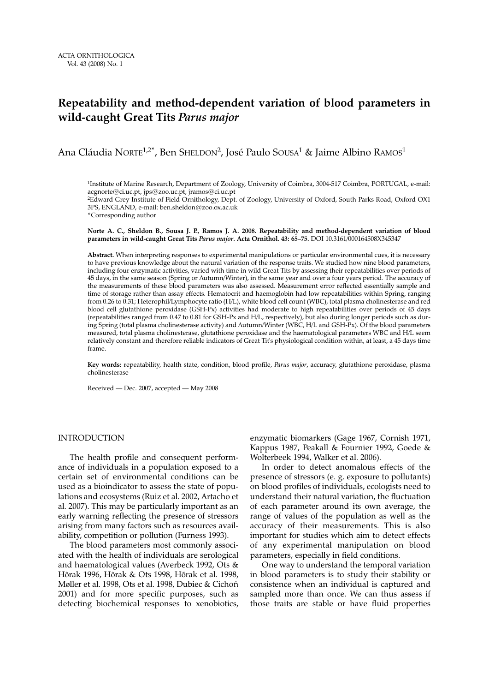#### **Repeatability and method-dependent variation of blood parameters in wild-caught Great Tits** *Parus major*

Ana Cláudia NORTE<sup>1,2\*</sup>, Ben SHELDON<sup>2</sup>, José Paulo SOUSA<sup>1</sup> & Jaime Albino RAMOS<sup>1</sup>

<sup>1</sup>Institute of Marine Research, Department of Zoology, University of Coimbra, 3004-517 Coimbra, PORTUGAL, e-mail: acgnorte@ci.uc.pt, jps@zoo.uc.pt, jramos@ci.uc.pt 2Edward Grey Institute of Field Ornithology, Dept. of Zoology, University of Oxford, South Parks Road, Oxford OX1 3PS, ENGLAND, e-mail: ben.sheldon@zoo.ox.ac.uk \*Corresponding author

**Norte A. C., Sheldon B., Sousa J. P., Ramos J. A. 2008. Repeatability and method-dependent variation of blood parameters in wild-caught Great Tits** *Parus major***. Acta Ornithol. 43: 65–75.** DOI 10.3161/000164508X345347

**Abstract.** When interpreting responses to experimental manipulations or particular environmental cues, it is necessary to have previous knowledge about the natural variation of the response traits. We studied how nine blood parameters, including four enzymatic activities, varied with time in wild Great Tits by assessing their repeatabilities over periods of 45 days, in the same season (Spring or Autumn/Winter), in the same year and over a four years period. The accuracy of the measurements of these blood parameters was also assessed. Measurement error reflected essentially sample and time of storage rather than assay effects. Hematocrit and haemoglobin had low repeatabilities within Spring, ranging from 0.26 to 0.31; Heterophil/Lymphocyte ratio (H/L), white blood cell count (WBC), total plasma cholinesterase and red blood cell glutathione peroxidase (GSH-Px) activities had moderate to high repeatabilities over periods of 45 days (repeatabilities ranged from 0.47 to 0.81 for GSH-Px and H/L, respectively), but also during longer periods such as during Spring (total plasma cholinesterase activity) and Autumn/Winter (WBC, H/L and GSH-Px). Of the blood parameters measured, total plasma cholinesterase, glutathione peroxidase and the haematological parameters WBC and H/L seem relatively constant and therefore reliable indicators of Great Tit's physiological condition within, at least, a 45 days time frame.

**Key words:** repeatability, health state, condition, blood profile, *Parus major*, accuracy, glutathione peroxidase, plasma cholinesterase

Received — Dec. 2007, accepted — May 2008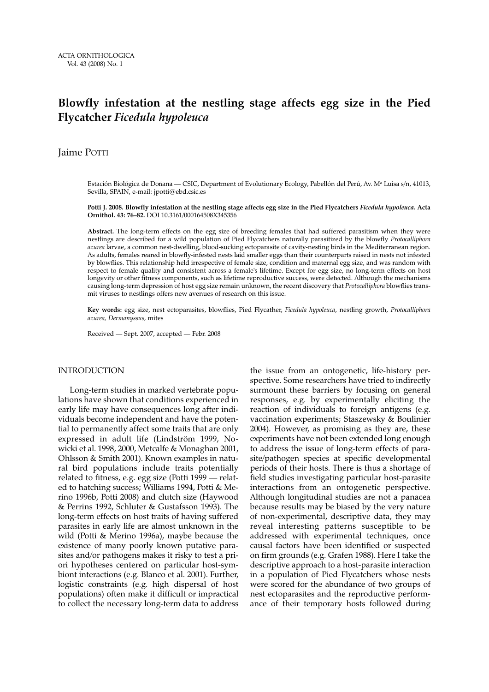# **Blowfly infestation at the nestling stage affects egg size in the Pied Flycatcher** *Ficedula hypoleuca*

Jaime POTTI

Estación Biológica de Doñana — CSIC, Department of Evolutionary Ecology, Pabellón del Perú, Av. M<sup>a</sup> Luisa s/n, 41013, Sevilla, SPAIN, e-mail: jpotti@ebd.csic.es

**Potti J. 2008. Blowfly infestation at the nestling stage affects egg size in the Pied Flycatchers** *Ficedula hypoleuca***. Acta Ornithol. 43: 76–82.** DOI 10.3161/000164508X345356

**Abstract.** The long-term effects on the egg size of breeding females that had suffered parasitism when they were nestlings are described for a wild population of Pied Flycatchers naturally parasitized by the blowfly *Protocalliphora azurea* larvae, a common nest-dwelling, blood-sucking ectoparasite of cavity-nesting birds in the Mediterranean region. As adults, females reared in blowfly-infested nests laid smaller eggs than their counterparts raised in nests not infested by blowflies. This relationship held irrespective of female size, condition and maternal egg size, and was random with respect to female quality and consistent across a female's lifetime. Except for egg size, no long-term effects on host longevity or other fitness components, such as lifetime reproductive success, were detected. Although the mechanisms causing long-term depression of host egg size remain unknown, the recent discovery that *Protocalliphora* blowflies transmit viruses to nestlings offers new avenues of research on this issue.

**Key words:** egg size, nest ectoparasites, blowflies, Pied Flycather, *Ficedula hypoleuca*, nestling growth, *Protocalliphora azurea, Dermanyssus,* mites

Received — Sept. 2007, accepted — Febr. 2008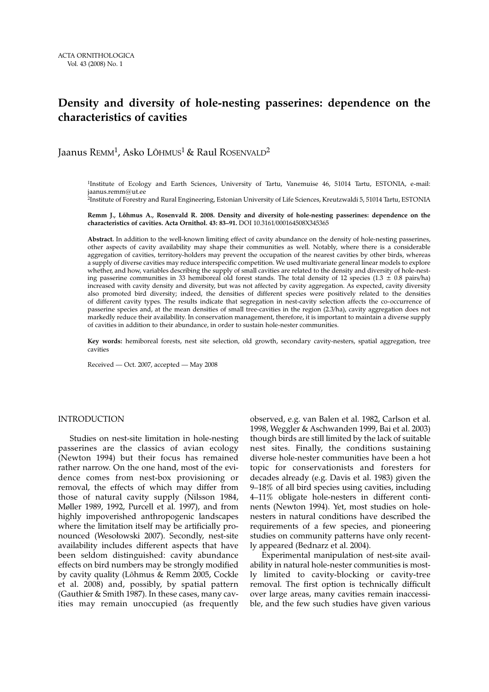#### **Density and diversity of hole-nesting passerines: dependence on the characteristics of cavities**

Jaanus REMM<sup>1</sup>, Asko Lõhmus<sup>1</sup> & Raul ROSENVALD<sup>2</sup>

<sup>1</sup>Institute of Ecology and Earth Sciences, University of Tartu, Vanemuise 46, 51014 Tartu, ESTONIA, e-mail: jaanus.remm@ut.ee

2Institute of Forestry and Rural Engineering, Estonian University of Life Sciences, Kreutzwaldi 5, 51014 Tartu, ESTONIA

**Remm J., Lõhmus A., Rosenvald R. 2008. Density and diversity of hole-nesting passerines: dependence on the characteristics of cavities. Acta Ornithol. 43: 83–91.** DOI 10.3161/000164508X345365

**Abstract.** In addition to the well-known limiting effect of cavity abundance on the density of hole-nesting passerines, other aspects of cavity availability may shape their communities as well. Notably, where there is a considerable aggregation of cavities, territory-holders may prevent the occupation of the nearest cavities by other birds, whereas a supply of diverse cavities may reduce interspecific competition. We used multivariate general linear models to explore whether, and how, variables describing the supply of small cavities are related to the density and diversity of hole-nesting passerine communities in 33 hemiboreal old forest stands. The total density of 12 species (1.3  $\pm$  0.8 pairs/ha) increased with cavity density and diversity, but was not affected by cavity aggregation. As expected, cavity diversity also promoted bird diversity; indeed, the densities of different species were positively related to the densities of different cavity types. The results indicate that segregation in nest-cavity selection affects the co-occurrence of passerine species and, at the mean densities of small tree-cavities in the region (2.3/ha), cavity aggregation does not markedly reduce their availability. In conservation management, therefore, it is important to maintain a diverse supply of cavities in addition to their abundance, in order to sustain hole-nester communities.

**Key words:** hemiboreal forests, nest site selection, old growth, secondary cavity-nesters, spatial aggregation, tree cavities

Received — Oct. 2007, accepted — May 2008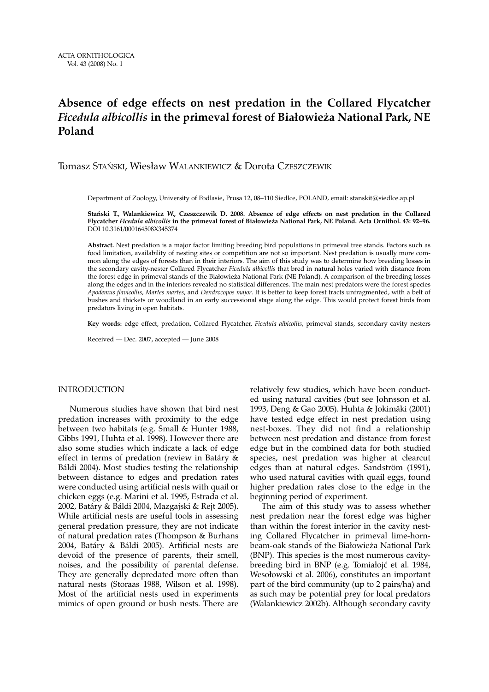# **Absence of edge effects on nest predation in the Collared Flycatcher** *Ficedula albicollis* **in the primeval forest of Białowieża National Park, NE Poland**

#### Tomasz STAŃSKI, Wiesław WALANKIEWICZ & Dorota CZESZCZEWIK

Department of Zoology, University of Podlasie, Prusa 12, 08–110 Siedlce, POLAND, email: stanskit@siedlce.ap.pl

**Stański T., Walankiewicz W., Czeszczewik D. 2008. Absence of edge effects on nest predation in the Collared Flycatcher** *Ficedula albicollis* **in the primeval forest of Białowieża National Park, NE Poland. Acta Ornithol. 43: 92–96.** DOI 10.3161/000164508X345374

**Abstract.** Nest predation is a major factor limiting breeding bird populations in primeval tree stands. Factors such as food limitation, availability of nesting sites or competition are not so important. Nest predation is usually more common along the edges of forests than in their interiors. The aim of this study was to determine how breeding losses in the secondary cavity-nester Collared Flycatcher *Ficedula albicollis* that bred in natural holes varied with distance from the forest edge in primeval stands of the Białowieża National Park (NE Poland). A comparison of the breeding losses along the edges and in the interiors revealed no statistical differences. The main nest predators were the forest species *Apodemus flavicollis*, *Martes martes*, and *Dendrocopos major*. It is better to keep forest tracts unfragmented, with a belt of bushes and thickets or woodland in an early successional stage along the edge. This would protect forest birds from predators living in open habitats.

**Key words:** edge effect, predation, Collared Flycatcher, *Ficedula albicollis*, primeval stands, secondary cavity nesters

Received — Dec. 2007, accepted — June 2008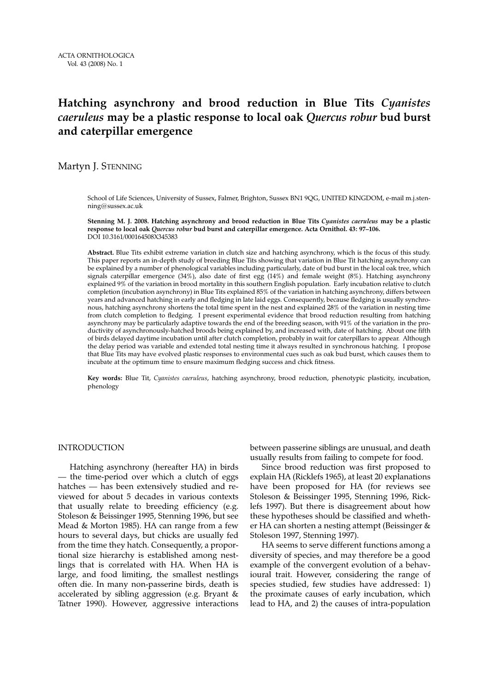# **Hatching asynchrony and brood reduction in Blue Tits** *Cyanistes caeruleus* **may be a plastic response to local oak** *Quercus robur* **bud burst and caterpillar emergence**

#### Martyn J. STENNING

School of Life Sciences, University of Sussex, Falmer, Brighton, Sussex BN1 9QG, UNITED KINGDOM, e-mail m.j.stenning@sussex.ac.uk

**Stenning M. J. 2008. Hatching asynchrony and brood reduction in Blue Tits** *Cyanistes caeruleus* **may be a plastic response to local oak** *Quercus robur* **bud burst and caterpillar emergence. Acta Ornithol. 43: 97–106.**  DOI 10.3161/000164508X345383

**Abstract.** Blue Tits exhibit extreme variation in clutch size and hatching asynchrony, which is the focus of this study. This paper reports an in-depth study of breeding Blue Tits showing that variation in Blue Tit hatching asynchrony can be explained by a number of phenological variables including particularly, date of bud burst in the local oak tree, which signals caterpillar emergence (34%), also date of first egg (14%) and female weight (8%). Hatching asynchrony explained 9% of the variation in brood mortality in this southern English population. Early incubation relative to clutch completion (incubation asynchrony) in Blue Tits explained 85% of the variation in hatching asynchrony, differs between years and advanced hatching in early and fledging in late laid eggs. Consequently, because fledging is usually synchronous, hatching asynchrony shortens the total time spent in the nest and explained 28% of the variation in nesting time from clutch completion to fledging. I present experimental evidence that brood reduction resulting from hatching asynchrony may be particularly adaptive towards the end of the breeding season, with 91% of the variation in the productivity of asynchronously-hatched broods being explained by, and increased with, date of hatching. About one fifth of birds delayed daytime incubation until after clutch completion, probably in wait for caterpillars to appear. Although the delay period was variable and extended total nesting time it always resulted in synchronous hatching. I propose that Blue Tits may have evolved plastic responses to environmental cues such as oak bud burst, which causes them to incubate at the optimum time to ensure maximum fledging success and chick fitness.

**Key words:** Blue Tit, *Cyanistes caeruleus*, hatching asynchrony, brood reduction, phenotypic plasticity, incubation, phenology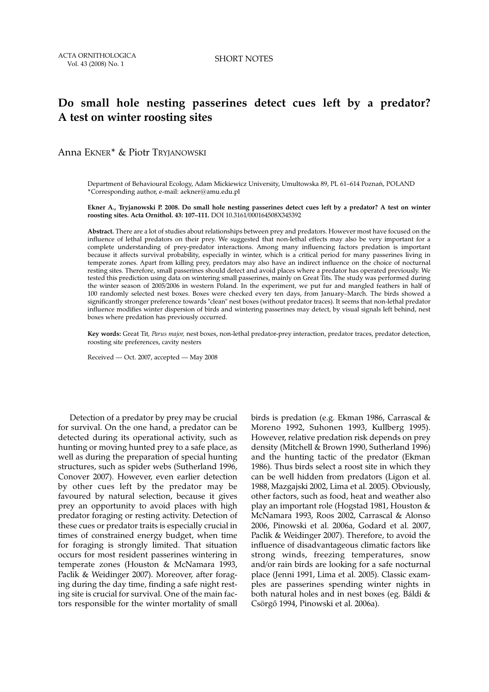#### **Do small hole nesting passerines detect cues left by a predator? A test on winter roosting sites**

Anna EKNER\* & Piotr TRYJANOWSKI

Department of Behavioural Ecology, Adam Mickiewicz University, Umultowska 89, PL 61–614 Poznań, POLAND \*Corresponding author, e-mail: aekner@amu.edu.pl

**Ekner A., Tryjanowski P. 2008. Do small hole nesting passerines detect cues left by a predator? A test on winter roosting sites. Acta Ornithol. 43: 107–111.** DOI 10.3161/000164508X345392

**Abstract.** There are a lot of studies about relationships between prey and predators. However most have focused on the influence of lethal predators on their prey. We suggested that non-lethal effects may also be very important for a complete understanding of prey-predator interactions. Among many influencing factors predation is important because it affects survival probability, especially in winter, which is a critical period for many passerines living in temperate zones. Apart from killing prey, predators may also have an indirect influence on the choice of nocturnal resting sites. Therefore, small passerines should detect and avoid places where a predator has operated previously. We tested this prediction using data on wintering small passerines, mainly on Great Tits. The study was performed during the winter season of 2005/2006 in western Poland. In the experiment, we put fur and mangled feathers in half of 100 randomly selected nest boxes. Boxes were checked every ten days, from January–March. The birds showed a significantly stronger preference towards "clean" nest boxes (without predator traces). It seems that non-lethal predator influence modifies winter dispersion of birds and wintering passerines may detect, by visual signals left behind, nest boxes where predation has previously occurred.

**Key words:** Great Tit*, Parus major,* nest boxes, non-lethal predator-prey interaction, predator traces, predator detection, roosting site preferences, cavity nesters

Received — Oct. 2007, accepted — May 2008